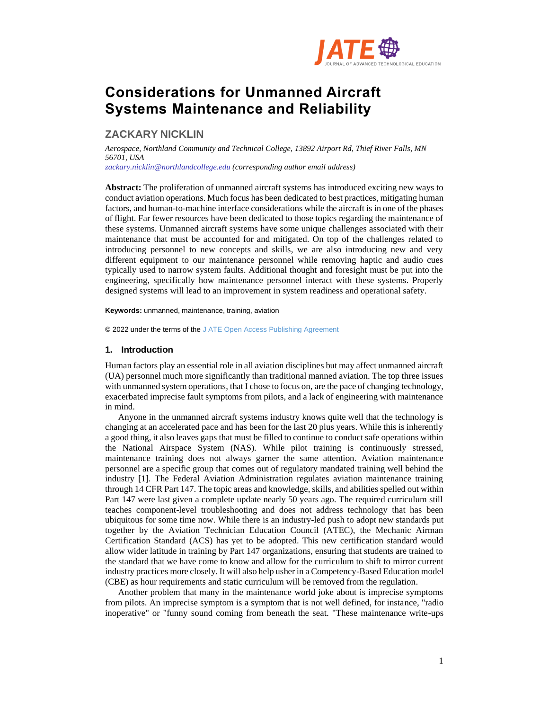

# **Considerations for Unmanned Aircraft Systems Maintenance and Reliability**

## **ZACKARY NICKLIN**

*Aerospace, Northland Community and Technical College, 13892 Airport Rd, Thief River Falls, MN 56701, USA zackary.nicklin@northlandcollege.edu (corresponding author email address)*

**Abstract:** The proliferation of unmanned aircraft systems has introduced exciting new ways to conduct aviation operations. Much focus has been dedicated to best practices, mitigating human factors, and human-to-machine interface considerations while the aircraft is in one of the phases of flight. Far fewer resources have been dedicated to those topics regarding the maintenance of these systems. Unmanned aircraft systems have some unique challenges associated with their maintenance that must be accounted for and mitigated. On top of the challenges related to introducing personnel to new concepts and skills, we are also introducing new and very different equipment to our maintenance personnel while removing haptic and audio cues typically used to narrow system faults. Additional thought and foresight must be put into the engineering, specifically how maintenance personnel interact with these systems. Properly designed systems will lead to an improvement in system readiness and operational safety.

**Keywords:** unmanned, maintenance, training, aviation

© 2022 under the terms of the J ATE Open Access Publishing Agreement

## **1. Introduction**

Human factors play an essential role in all aviation disciplines but may affect unmanned aircraft (UA) personnel much more significantly than traditional manned aviation. The top three issues with unmanned system operations, that I chose to focus on, are the pace of changing technology, exacerbated imprecise fault symptoms from pilots, and a lack of engineering with maintenance in mind.

Anyone in the unmanned aircraft systems industry knows quite well that the technology is changing at an accelerated pace and has been for the last 20 plus years. While this is inherently a good thing, it also leaves gaps that must be filled to continue to conduct safe operations within the National Airspace System (NAS). While pilot training is continuously stressed, maintenance training does not always garner the same attention. Aviation maintenance personnel are a specific group that comes out of regulatory mandated training well behind the industry [1]. The Federal Aviation Administration regulates aviation maintenance training through 14 CFR Part 147. The topic areas and knowledge, skills, and abilities spelled out within Part 147 were last given a complete update nearly 50 years ago. The required curriculum still teaches component-level troubleshooting and does not address technology that has been ubiquitous for some time now. While there is an industry-led push to adopt new standards put together by the Aviation Technician Education Council (ATEC), the Mechanic Airman Certification Standard (ACS) has yet to be adopted. This new certification standard would allow wider latitude in training by Part 147 organizations, ensuring that students are trained to the standard that we have come to know and allow for the curriculum to shift to mirror current industry practices more closely. It will also help usher in a Competency-Based Education model (CBE) as hour requirements and static curriculum will be removed from the regulation.

Another problem that many in the maintenance world joke about is imprecise symptoms from pilots. An imprecise symptom is a symptom that is not well defined, for instance, "radio inoperative" or "funny sound coming from beneath the seat. "These maintenance write-ups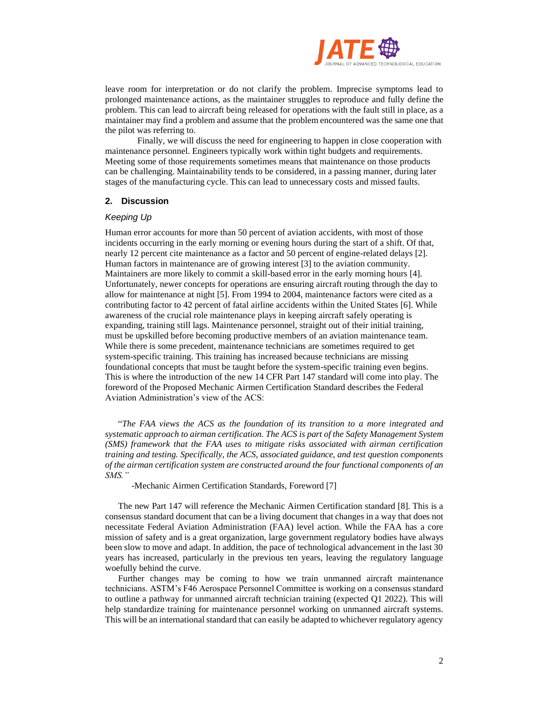

leave room for interpretation or do not clarify the problem. Imprecise symptoms lead to prolonged maintenance actions, as the maintainer struggles to reproduce and fully define the problem. This can lead to aircraft being released for operations with the fault still in place, as a maintainer may find a problem and assume that the problem encountered was the same one that the pilot was referring to.

Finally, we will discuss the need for engineering to happen in close cooperation with maintenance personnel. Engineers typically work within tight budgets and requirements. Meeting some of those requirements sometimes means that maintenance on those products can be challenging. Maintainability tends to be considered, in a passing manner, during later stages of the manufacturing cycle. This can lead to unnecessary costs and missed faults.

## **2. Discussion**

## *Keeping Up*

Human error accounts for more than 50 percent of aviation accidents, with most of those incidents occurring in the early morning or evening hours during the start of a shift. Of that, nearly 12 percent cite maintenance as a factor and 50 percent of engine-related delays [2]. Human factors in maintenance are of growing interest [3] to the aviation community. Maintainers are more likely to commit a skill-based error in the early morning hours [4]. Unfortunately, newer concepts for operations are ensuring aircraft routing through the day to allow for maintenance at night [5]. From 1994 to 2004, maintenance factors were cited as a contributing factor to 42 percent of fatal airline accidents within the United States [6]. While awareness of the crucial role maintenance plays in keeping aircraft safely operating is expanding, training still lags. Maintenance personnel, straight out of their initial training, must be upskilled before becoming productive members of an aviation maintenance team. While there is some precedent, maintenance technicians are sometimes required to get system-specific training. This training has increased because technicians are missing foundational concepts that must be taught before the system-specific training even begins. This is where the introduction of the new 14 CFR Part 147 standard will come into play. The foreword of the Proposed Mechanic Airmen Certification Standard describes the Federal Aviation Administration's view of the ACS:

"*The FAA views the ACS as the foundation of its transition to a more integrated and systematic approach to airman certification. The ACS is part of the Safety Management System (SMS) framework that the FAA uses to mitigate risks associated with airman certification training and testing. Specifically, the ACS, associated guidance, and test question components of the airman certification system are constructed around the four functional components of an SMS."* 

-Mechanic Airmen Certification Standards, Foreword [7]

The new Part 147 will reference the Mechanic Airmen Certification standard [8]. This is a consensus standard document that can be a living document that changes in a way that does not necessitate Federal Aviation Administration (FAA) level action. While the FAA has a core mission of safety and is a great organization, large government regulatory bodies have always been slow to move and adapt. In addition, the pace of technological advancement in the last 30 years has increased, particularly in the previous ten years, leaving the regulatory language woefully behind the curve.

Further changes may be coming to how we train unmanned aircraft maintenance technicians. ASTM's F46 Aerospace Personnel Committee is working on a consensus standard to outline a pathway for unmanned aircraft technician training (expected Q1 2022). This will help standardize training for maintenance personnel working on unmanned aircraft systems. This will be an international standard that can easily be adapted to whichever regulatory agency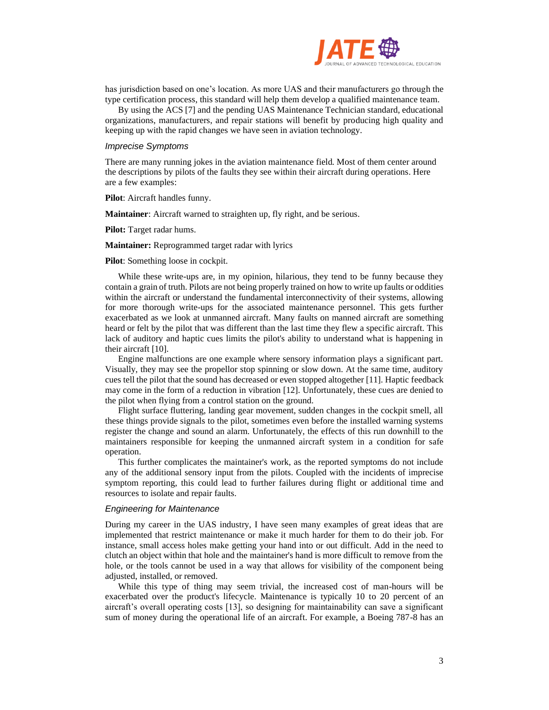

has jurisdiction based on one's location. As more UAS and their manufacturers go through the type certification process, this standard will help them develop a qualified maintenance team.

By using the ACS [7] and the pending UAS Maintenance Technician standard, educational organizations, manufacturers, and repair stations will benefit by producing high quality and keeping up with the rapid changes we have seen in aviation technology.

#### *Imprecise Symptoms*

There are many running jokes in the aviation maintenance field. Most of them center around the descriptions by pilots of the faults they see within their aircraft during operations. Here are a few examples:

**Pilot**: Aircraft handles funny.

**Maintainer**: Aircraft warned to straighten up, fly right, and be serious.

**Pilot:** Target radar hums.

**Maintainer:** Reprogrammed target radar with lyrics

**Pilot**: Something loose in cockpit.

While these write-ups are, in my opinion, hilarious, they tend to be funny because they contain a grain of truth. Pilots are not being properly trained on how to write up faults or oddities within the aircraft or understand the fundamental interconnectivity of their systems, allowing for more thorough write-ups for the associated maintenance personnel. This gets further exacerbated as we look at unmanned aircraft. Many faults on manned aircraft are something heard or felt by the pilot that was different than the last time they flew a specific aircraft. This lack of auditory and haptic cues limits the pilot's ability to understand what is happening in their aircraft [10].

Engine malfunctions are one example where sensory information plays a significant part. Visually, they may see the propellor stop spinning or slow down. At the same time, auditory cues tell the pilot that the sound has decreased or even stopped altogether [11]. Haptic feedback may come in the form of a reduction in vibration [12]. Unfortunately, these cues are denied to the pilot when flying from a control station on the ground.

Flight surface fluttering, landing gear movement, sudden changes in the cockpit smell, all these things provide signals to the pilot, sometimes even before the installed warning systems register the change and sound an alarm. Unfortunately, the effects of this run downhill to the maintainers responsible for keeping the unmanned aircraft system in a condition for safe operation.

This further complicates the maintainer's work, as the reported symptoms do not include any of the additional sensory input from the pilots. Coupled with the incidents of imprecise symptom reporting, this could lead to further failures during flight or additional time and resources to isolate and repair faults.

## *Engineering for Maintenance*

During my career in the UAS industry, I have seen many examples of great ideas that are implemented that restrict maintenance or make it much harder for them to do their job. For instance, small access holes make getting your hand into or out difficult. Add in the need to clutch an object within that hole and the maintainer's hand is more difficult to remove from the hole, or the tools cannot be used in a way that allows for visibility of the component being adjusted, installed, or removed.

While this type of thing may seem trivial, the increased cost of man-hours will be exacerbated over the product's lifecycle. Maintenance is typically 10 to 20 percent of an aircraft's overall operating costs [13], so designing for maintainability can save a significant sum of money during the operational life of an aircraft. For example, a Boeing 787-8 has an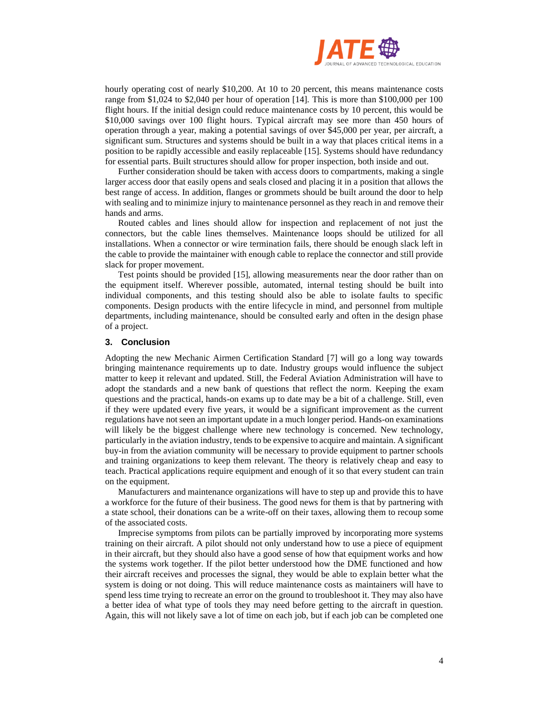

hourly operating cost of nearly \$10,200. At 10 to 20 percent, this means maintenance costs range from \$1,024 to \$2,040 per hour of operation [14]. This is more than \$100,000 per 100 flight hours. If the initial design could reduce maintenance costs by 10 percent, this would be \$10,000 savings over 100 flight hours. Typical aircraft may see more than 450 hours of operation through a year, making a potential savings of over \$45,000 per year, per aircraft, a significant sum. Structures and systems should be built in a way that places critical items in a position to be rapidly accessible and easily replaceable [15]. Systems should have redundancy for essential parts. Built structures should allow for proper inspection, both inside and out.

Further consideration should be taken with access doors to compartments, making a single larger access door that easily opens and seals closed and placing it in a position that allows the best range of access. In addition, flanges or grommets should be built around the door to help with sealing and to minimize injury to maintenance personnel as they reach in and remove their hands and arms.

Routed cables and lines should allow for inspection and replacement of not just the connectors, but the cable lines themselves. Maintenance loops should be utilized for all installations. When a connector or wire termination fails, there should be enough slack left in the cable to provide the maintainer with enough cable to replace the connector and still provide slack for proper movement.

Test points should be provided [15], allowing measurements near the door rather than on the equipment itself. Wherever possible, automated, internal testing should be built into individual components, and this testing should also be able to isolate faults to specific components. Design products with the entire lifecycle in mind, and personnel from multiple departments, including maintenance, should be consulted early and often in the design phase of a project.

## **3. Conclusion**

Adopting the new Mechanic Airmen Certification Standard [7] will go a long way towards bringing maintenance requirements up to date. Industry groups would influence the subject matter to keep it relevant and updated. Still, the Federal Aviation Administration will have to adopt the standards and a new bank of questions that reflect the norm. Keeping the exam questions and the practical, hands-on exams up to date may be a bit of a challenge. Still, even if they were updated every five years, it would be a significant improvement as the current regulations have not seen an important update in a much longer period. Hands-on examinations will likely be the biggest challenge where new technology is concerned. New technology, particularly in the aviation industry, tends to be expensive to acquire and maintain. A significant buy-in from the aviation community will be necessary to provide equipment to partner schools and training organizations to keep them relevant. The theory is relatively cheap and easy to teach. Practical applications require equipment and enough of it so that every student can train on the equipment.

Manufacturers and maintenance organizations will have to step up and provide this to have a workforce for the future of their business. The good news for them is that by partnering with a state school, their donations can be a write-off on their taxes, allowing them to recoup some of the associated costs.

Imprecise symptoms from pilots can be partially improved by incorporating more systems training on their aircraft. A pilot should not only understand how to use a piece of equipment in their aircraft, but they should also have a good sense of how that equipment works and how the systems work together. If the pilot better understood how the DME functioned and how their aircraft receives and processes the signal, they would be able to explain better what the system is doing or not doing. This will reduce maintenance costs as maintainers will have to spend less time trying to recreate an error on the ground to troubleshoot it. They may also have a better idea of what type of tools they may need before getting to the aircraft in question. Again, this will not likely save a lot of time on each job, but if each job can be completed one